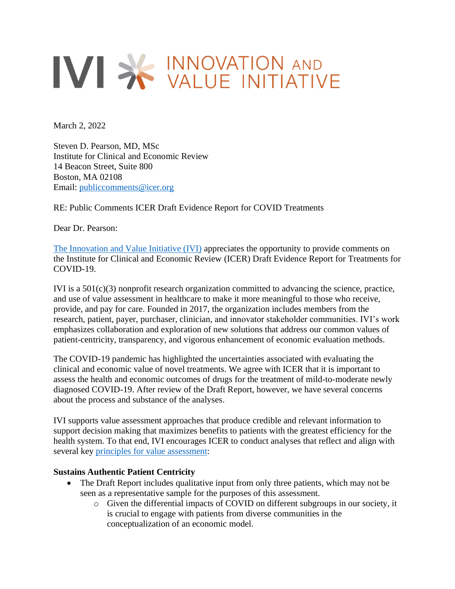# IVI > WALUE INITIATIVE

March 2, 2022

Steven D. Pearson, MD, MSc Institute for Clinical and Economic Review 14 Beacon Street, Suite 800 Boston, MA 02108 Email: [publiccomments@icer.org](mailto:publiccomments@icer.org)

RE: Public Comments ICER Draft Evidence Report for COVID Treatments

Dear Dr. Pearson:

[The Innovation and Value Initiative \(IVI\)](https://www.thevalueinitiative.org/) appreciates the opportunity to provide comments on the Institute for Clinical and Economic Review (ICER) Draft Evidence Report for Treatments for COVID-19.

IVI is a  $501(c)(3)$  nonprofit research organization committed to advancing the science, practice, and use of value assessment in healthcare to make it more meaningful to those who receive, provide, and pay for care. Founded in 2017, the organization includes members from the research, patient, payer, purchaser, clinician, and innovator stakeholder communities. IVI's work emphasizes collaboration and exploration of new solutions that address our common values of patient-centricity, transparency, and vigorous enhancement of economic evaluation methods.

The COVID-19 pandemic has highlighted the uncertainties associated with evaluating the clinical and economic value of novel treatments. We agree with ICER that it is important to assess the health and economic outcomes of drugs for the treatment of mild-to-moderate newly diagnosed COVID-19. After review of the Draft Report, however, we have several concerns about the process and substance of the analyses.

IVI supports value assessment approaches that produce credible and relevant information to support decision making that maximizes benefits to patients with the greatest efficiency for the health system. To that end, IVI encourages ICER to conduct analyses that reflect and align with several key principles [for value assessment:](https://www.thevalueinitiative.org/principles-for-value-assessment-in-the-us/)

### **Sustains Authentic Patient Centricity**

- The Draft Report includes qualitative input from only three patients, which may not be seen as a representative sample for the purposes of this assessment.
	- o Given the differential impacts of COVID on different subgroups in our society, it is crucial to engage with patients from diverse communities in the conceptualization of an economic model.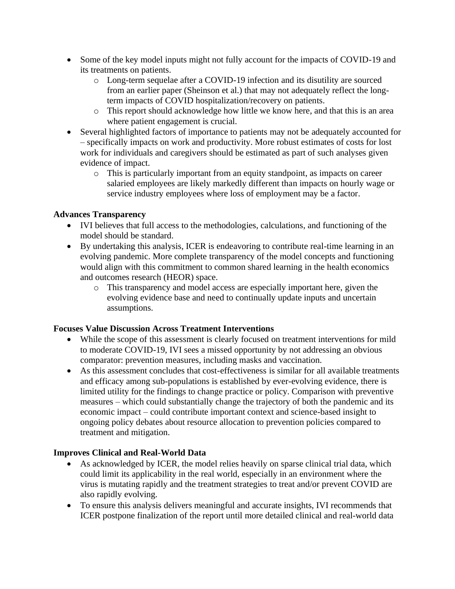- Some of the key model inputs might not fully account for the impacts of COVID-19 and its treatments on patients.
	- o Long-term sequelae after a COVID-19 infection and its disutility are sourced from an earlier paper (Sheinson et al.) that may not adequately reflect the longterm impacts of COVID hospitalization/recovery on patients.
	- o This report should acknowledge how little we know here, and that this is an area where patient engagement is crucial.
- Several highlighted factors of importance to patients may not be adequately accounted for – specifically impacts on work and productivity. More robust estimates of costs for lost work for individuals and caregivers should be estimated as part of such analyses given evidence of impact.
	- o This is particularly important from an equity standpoint, as impacts on career salaried employees are likely markedly different than impacts on hourly wage or service industry employees where loss of employment may be a factor.

## **Advances Transparency**

- IVI believes that full access to the methodologies, calculations, and functioning of the model should be standard.
- By undertaking this analysis, ICER is endeavoring to contribute real-time learning in an evolving pandemic. More complete transparency of the model concepts and functioning would align with this commitment to common shared learning in the health economics and outcomes research (HEOR) space.
	- o This transparency and model access are especially important here, given the evolving evidence base and need to continually update inputs and uncertain assumptions.

### **Focuses Value Discussion Across Treatment Interventions**

- While the scope of this assessment is clearly focused on treatment interventions for mild to moderate COVID-19, IVI sees a missed opportunity by not addressing an obvious comparator: prevention measures, including masks and vaccination.
- As this assessment concludes that cost-effectiveness is similar for all available treatments and efficacy among sub-populations is established by ever-evolving evidence, there is limited utility for the findings to change practice or policy. Comparison with preventive measures – which could substantially change the trajectory of both the pandemic and its economic impact – could contribute important context and science-based insight to ongoing policy debates about resource allocation to prevention policies compared to treatment and mitigation.

# **Improves Clinical and Real-World Data**

- As acknowledged by ICER, the model relies heavily on sparse clinical trial data, which could limit its applicability in the real world, especially in an environment where the virus is mutating rapidly and the treatment strategies to treat and/or prevent COVID are also rapidly evolving.
- To ensure this analysis delivers meaningful and accurate insights, IVI recommends that ICER postpone finalization of the report until more detailed clinical and real-world data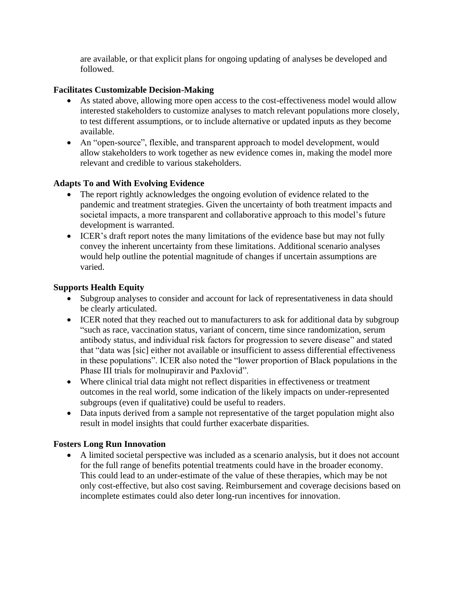are available, or that explicit plans for ongoing updating of analyses be developed and followed.

### **Facilitates Customizable Decision-Making**

- As stated above, allowing more open access to the cost-effectiveness model would allow interested stakeholders to customize analyses to match relevant populations more closely, to test different assumptions, or to include alternative or updated inputs as they become available.
- An "open-source", flexible, and transparent approach to model development, would allow stakeholders to work together as new evidence comes in, making the model more relevant and credible to various stakeholders.

## **Adapts To and With Evolving Evidence**

- The report rightly acknowledges the ongoing evolution of evidence related to the pandemic and treatment strategies. Given the uncertainty of both treatment impacts and societal impacts, a more transparent and collaborative approach to this model's future development is warranted.
- ICER's draft report notes the many limitations of the evidence base but may not fully convey the inherent uncertainty from these limitations. Additional scenario analyses would help outline the potential magnitude of changes if uncertain assumptions are varied.

### **Supports Health Equity**

- Subgroup analyses to consider and account for lack of representativeness in data should be clearly articulated.
- ICER noted that they reached out to manufacturers to ask for additional data by subgroup "such as race, vaccination status, variant of concern, time since randomization, serum antibody status, and individual risk factors for progression to severe disease" and stated that "data was [sic] either not available or insufficient to assess differential effectiveness in these populations". ICER also noted the "lower proportion of Black populations in the Phase III trials for molnupiravir and Paxlovid".
- Where clinical trial data might not reflect disparities in effectiveness or treatment outcomes in the real world, some indication of the likely impacts on under-represented subgroups (even if qualitative) could be useful to readers.
- Data inputs derived from a sample not representative of the target population might also result in model insights that could further exacerbate disparities.

### **Fosters Long Run Innovation**

• A limited societal perspective was included as a scenario analysis, but it does not account for the full range of benefits potential treatments could have in the broader economy. This could lead to an under-estimate of the value of these therapies, which may be not only cost-effective, but also cost saving. Reimbursement and coverage decisions based on incomplete estimates could also deter long-run incentives for innovation.